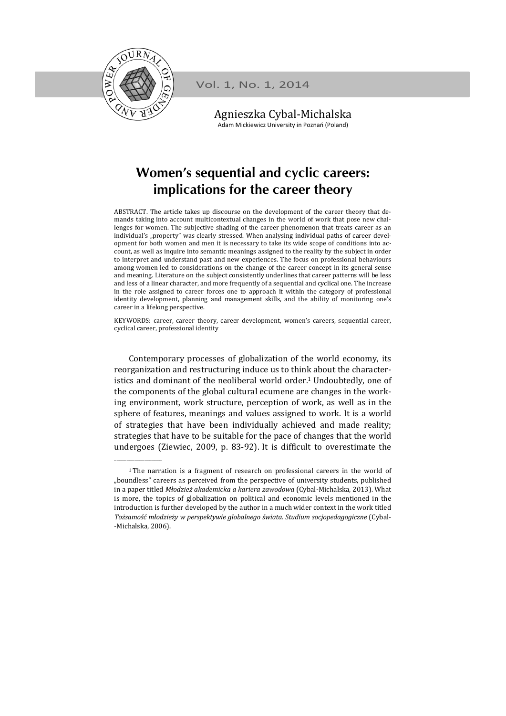

\_\_\_\_\_\_\_\_\_\_\_\_\_\_\_\_\_\_\_ 

Vol. 1, No. 1, 2014

Agnieszka Cybal‐Michalska Adam Mickiewicz University in Poznań (Poland)

## **Women's sequential and cyclic careers: implications for the career theory**

ABSTRACT. The article takes up discourse on the development of the career theory that demands taking into account multicontextual changes in the world of work that pose new challenges for women. The subjective shading of the career phenomenon that treats career as an individual's "property" was clearly stressed. When analysing individual paths of career development for both women and men it is necessary to take its wide scope of conditions into account, as well as inquire into semantic meanings assigned to the reality by the subject in order to interpret and understand past and new experiences. The focus on professional behaviours among women led to considerations on the change of the career concept in its general sense and meaning. Literature on the subject consistently underlines that career patterns will be less and less of a linear character, and more frequently of a sequential and cyclical one. The increase in the role assigned to career forces one to approach it within the category of professional identity development, planning and management skills, and the ability of monitoring one's career in a lifelong perspective.

KEYWORDS: career, career theory, career development, women's careers, sequential career, cyclical career, professional identity

Contemporary processes of globalization of the world economy, its reorganization and restructuring induce us to think about the characteristics and dominant of the neoliberal world order.<sup>1</sup> Undoubtedly, one of the components of the global cultural ecumene are changes in the working environment, work structure, perception of work, as well as in the sphere of features, meanings and values assigned to work. It is a world of strategies that have been individually achieved and made reality; strategies that have to be suitable for the pace of changes that the world undergoes (Ziewiec, 2009, p. 83-92). It is difficult to overestimate the

<sup>&</sup>lt;sup>1</sup> The narration is a fragment of research on professional careers in the world of "boundless" careers as perceived from the perspective of university students, published in a paper titled *Młodzież akademicka a kariera zawodowa* (Cybal-Michalska, 2013). What is more, the topics of globalization on political and economic levels mentioned in the introduction is further developed by the author in a much wider context in the work titled *Tożsamość młodzieży w perspektywie globalnego świata. Studium socjopedagogiczne* (Cybal‐ -Michalska, 2006).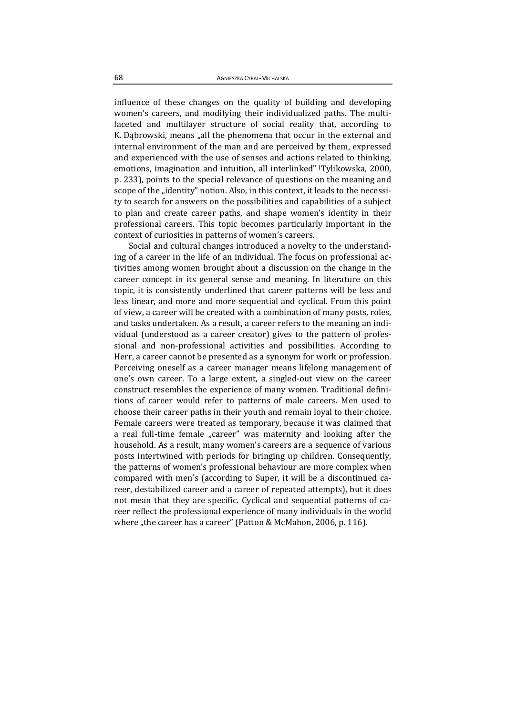influence of these changes on the quality of building and developing women's careers, and modifying their individualized paths. The multifaceted and multilayer structure of social reality that, according to K. Dabrowski, means "all the phenomena that occur in the external and internal environment of the man and are perceived by them, expressed and experienced with the use of senses and actions related to thinking, emotions, imagination and intuition, all interlinked" (Tylikowska, 2000, p. 233), points to the special relevance of questions on the meaning and scope of the "identity" notion. Also, in this context, it leads to the necessity to search for answers on the possibilities and capabilities of a subject to plan and create career paths, and shape women's identity in their professional careers. This topic becomes particularly important in the context of curiosities in patterns of women's careers.

Social and cultural changes introduced a novelty to the understanding of a career in the life of an individual. The focus on professional activities among women brought about a discussion on the change in the career concept in its general sense and meaning. In literature on this topic, it is consistently underlined that career patterns will be less and less linear, and more and more sequential and cyclical. From this point of view, a career will be created with a combination of many posts, roles, and tasks undertaken. As a result, a career refers to the meaning an individual (understood as a career creator) gives to the pattern of professional and non-professional activities and possibilities. According to Herr, a career cannot be presented as a synonym for work or profession. Perceiving oneself as a career manager means lifelong management of one's own career. To a large extent, a singled-out view on the career construct resembles the experience of many women. Traditional definitions of career would refer to patterns of male careers. Men used to choose their career paths in their youth and remain loyal to their choice. Female careers were treated as temporary, because it was claimed that a real full-time female "career" was maternity and looking after the household. As a result, many women's careers are a sequence of various posts intertwined with periods for bringing up children. Consequently, the patterns of women's professional behaviour are more complex when compared with men's (according to Super, it will be a discontinued career, destabilized career and a career of repeated attempts), but it does not mean that they are specific. Cyclical and sequential patterns of career reflect the professional experience of many individuals in the world where "the career has a career" (Patton & McMahon, 2006, p. 116).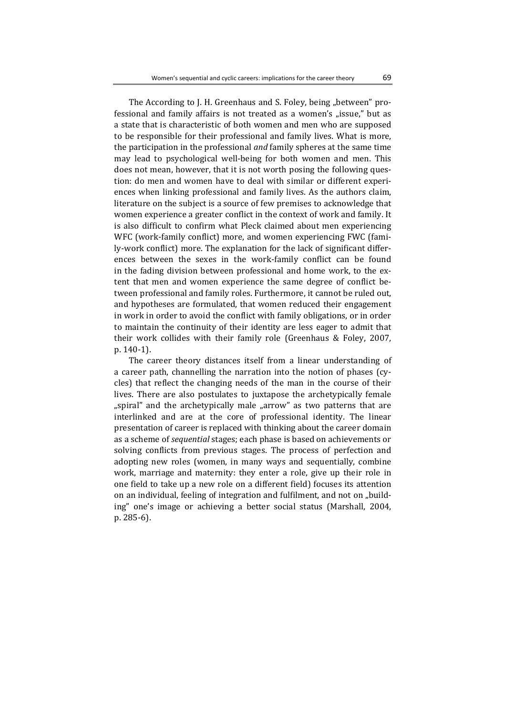The According to J. H. Greenhaus and S. Foley, being "between" professional and family affairs is not treated as a women's "issue," but as a state that is characteristic of both women and men who are supposed to be responsible for their professional and family lives. What is more, the participation in the professional *and* family spheres at the same time may lead to psychological well-being for both women and men. This does not mean, however, that it is not worth posing the following question: do men and women have to deal with similar or different experiences when linking professional and family lives. As the authors claim, literature on the subject is a source of few premises to acknowledge that women experience a greater conflict in the context of work and family. It is also difficult to confirm what Pleck claimed about men experiencing WFC (work-family conflict) more, and women experiencing FWC (family-work conflict) more. The explanation for the lack of significant differences between the sexes in the work-family conflict can be found in the fading division between professional and home work, to the extent that men and women experience the same degree of conflict between professional and family roles. Furthermore, it cannot be ruled out, and hypotheses are formulated, that women reduced their engagement in work in order to avoid the conflict with family obligations, or in order to maintain the continuity of their identity are less eager to admit that their work collides with their family role (Greenhaus  $&$  Foley, 2007, p. 140‐1). 

The career theory distances itself from a linear understanding of a career path, channelling the narration into the notion of phases (cycles) that reflect the changing needs of the man in the course of their lives. There are also postulates to juxtapose the archetypically female "spiral" and the archetypically male "arrow" as two patterns that are interlinked and are at the core of professional identity. The linear presentation of career is replaced with thinking about the career domain as a scheme of *sequential* stages; each phase is based on achievements or solving conflicts from previous stages. The process of perfection and adopting new roles (women, in many ways and sequentially, combine work, marriage and maternity: they enter a role, give up their role in one field to take up a new role on a different field) focuses its attention on an individual, feeling of integration and fulfilment, and not on "building" one's image or achieving a better social status (Marshall, 2004,  $p. 285-6$ ).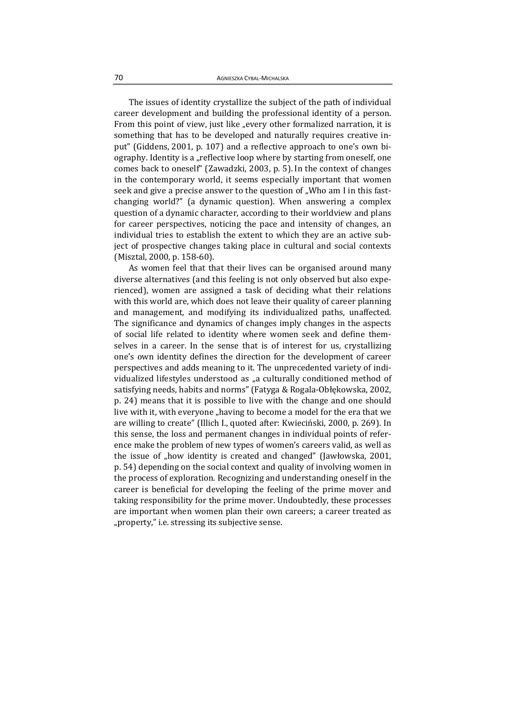The issues of identity crystallize the subject of the path of individual career development and building the professional identity of a person. From this point of view, just like "every other formalized narration, it is something that has to be developed and naturally requires creative input" (Giddens, 2001, p. 107) and a reflective approach to one's own biography. Identity is a "reflective loop where by starting from oneself, one comes back to oneself" (Zawadzki, 2003, p. 5). In the context of changes in the contemporary world, it seems especially important that women seek and give a precise answer to the question of "Who am I in this fastchanging world?" (a dynamic question). When answering a complex question of a dynamic character, according to their worldview and plans for career perspectives, noticing the pace and intensity of changes, an individual tries to establish the extent to which they are an active subject of prospective changes taking place in cultural and social contexts (Misztal, 2000, p. 158-60).

As women feel that that their lives can be organised around many diverse alternatives (and this feeling is not only observed but also experienced), women are assigned a task of deciding what their relations with this world are, which does not leave their quality of career planning and management, and modifying its individualized paths, unaffected. The significance and dynamics of changes imply changes in the aspects of social life related to identity where women seek and define themselves in a career. In the sense that is of interest for us, crystallizing one's own identity defines the direction for the development of career perspectives and adds meaning to it. The unprecedented variety of individualized lifestyles understood as "a culturally conditioned method of satisfying needs, habits and norms" (Fatyga & Rogala-Obłękowska, 2002, p. 24) means that it is possible to live with the change and one should live with it, with everyone "having to become a model for the era that we are willing to create" (Illich I., quoted after: Kwieciński, 2000, p. 269). In this sense, the loss and permanent changes in individual points of reference make the problem of new types of women's careers valid, as well as the issue of "how identity is created and changed" (Jawłowska, 2001, p. 54) depending on the social context and quality of involving women in the process of exploration. Recognizing and understanding oneself in the career is beneficial for developing the feeling of the prime mover and taking responsibility for the prime mover. Undoubtedly, these processes are important when women plan their own careers; a career treated as "property," i.e. stressing its subjective sense.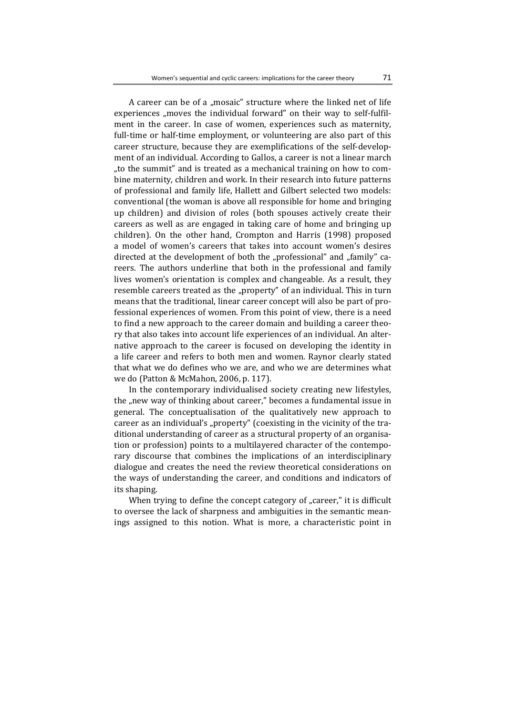A career can be of a "mosaic" structure where the linked net of life experiences "moves the individual forward" on their way to self-fulfilment in the career. In case of women, experiences such as maternity, full-time or half-time employment, or volunteering are also part of this career structure, because they are exemplifications of the self-development of an individual. According to Gallos, a career is not a linear march "to the summit" and is treated as a mechanical training on how to combine maternity, children and work. In their research into future patterns of professional and family life, Hallett and Gilbert selected two models: conventional (the woman is above all responsible for home and bringing up children) and division of roles (both spouses actively create their careers as well as are engaged in taking care of home and bringing up children). On the other hand, Crompton and Harris (1998) proposed a model of women's careers that takes into account women's desires directed at the development of both the "professional" and "family" careers. The authors underline that both in the professional and family lives women's orientation is complex and changeable. As a result, they resemble careers treated as the "property" of an individual. This in turn means that the traditional, linear career concept will also be part of professional experiences of women. From this point of view, there is a need to find a new approach to the career domain and building a career theory that also takes into account life experiences of an individual. An alternative approach to the career is focused on developing the identity in a life career and refers to both men and women. Raynor clearly stated that what we do defines who we are, and who we are determines what we do (Patton & McMahon, 2006, p. 117).

In the contemporary individualised society creating new lifestyles, the "new way of thinking about career," becomes a fundamental issue in general. The conceptualisation of the qualitatively new approach to career as an individual's "property" (coexisting in the vicinity of the traditional understanding of career as a structural property of an organisation or profession) points to a multilayered character of the contemporary discourse that combines the implications of an interdisciplinary dialogue and creates the need the review theoretical considerations on the ways of understanding the career, and conditions and indicators of its shaping.

When trying to define the concept category of "career," it is difficult to oversee the lack of sharpness and ambiguities in the semantic meanings assigned to this notion. What is more, a characteristic point in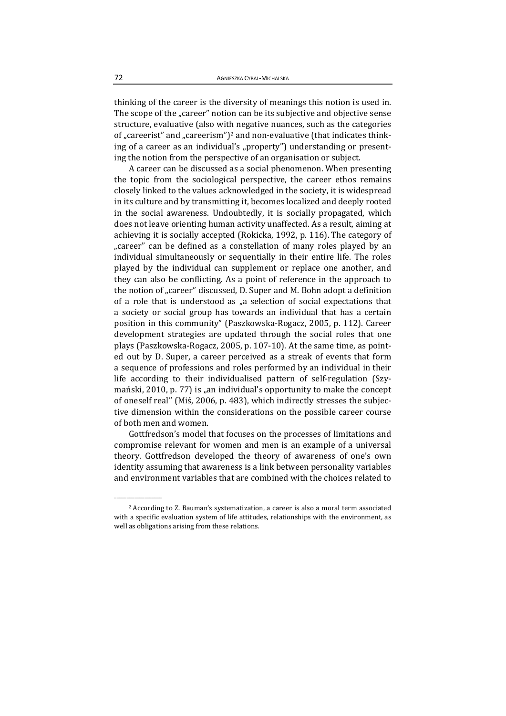thinking of the career is the diversity of meanings this notion is used in. The scope of the "career" notion can be its subjective and objective sense structure, evaluative (also with negative nuances, such as the categories of "careerist" and "careerism")<sup>2</sup> and non-evaluative (that indicates thinking of a career as an individual's "property") understanding or presenting the notion from the perspective of an organisation or subject.

A career can be discussed as a social phenomenon. When presenting the topic from the sociological perspective, the career ethos remains closely linked to the values acknowledged in the society, it is widespread in its culture and by transmitting it, becomes localized and deeply rooted in the social awareness. Undoubtedly, it is socially propagated, which does not leave orienting human activity unaffected. As a result, aiming at achieving it is socially accepted (Rokicka, 1992, p. 116). The category of "career" can be defined as a constellation of many roles played by an individual simultaneously or sequentially in their entire life. The roles played by the individual can supplement or replace one another, and they can also be conflicting. As a point of reference in the approach to the notion of "career" discussed, D. Super and M. Bohn adopt a definition of a role that is understood as  $\mu$ a selection of social expectations that a society or social group has towards an individual that has a certain position in this community" (Paszkowska-Rogacz, 2005, p. 112). Career development strategies are updated through the social roles that one plays (Paszkowska-Rogacz, 2005, p. 107-10). At the same time, as pointed out by D. Super, a career perceived as a streak of events that form a sequence of professions and roles performed by an individual in their life according to their individualised pattern of self-regulation (Szymański, 2010, p. 77) is "an individual's opportunity to make the concept of oneself real" (Mis, 2006, p. 483), which indirectly stresses the subjective dimension within the considerations on the possible career course of both men and women.

Gottfredson's model that focuses on the processes of limitations and compromise relevant for women and men is an example of a universal theory. Gottfredson developed the theory of awareness of one's own identity assuming that awareness is a link between personality variables and environment variables that are combined with the choices related to

\_\_\_\_\_\_\_\_\_\_\_\_\_\_\_\_\_\_\_ 

<sup>&</sup>lt;sup>2</sup> According to Z. Bauman's systematization, a career is also a moral term associated with a specific evaluation system of life attitudes, relationships with the environment, as well as obligations arising from these relations.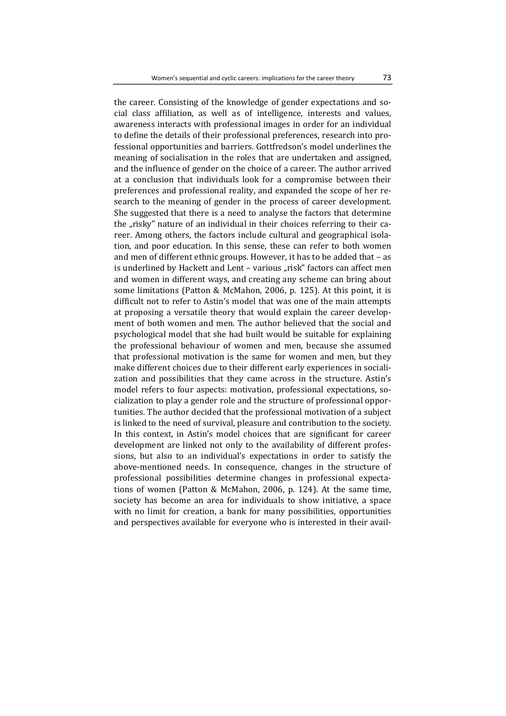the career. Consisting of the knowledge of gender expectations and social class affiliation, as well as of intelligence, interests and values, awareness interacts with professional images in order for an individual to define the details of their professional preferences, research into professional opportunities and barriers. Gottfredson's model underlines the meaning of socialisation in the roles that are undertaken and assigned, and the influence of gender on the choice of a career. The author arrived at a conclusion that individuals look for a compromise between their preferences and professional reality, and expanded the scope of her research to the meaning of gender in the process of career development. She suggested that there is a need to analyse the factors that determine the "risky" nature of an individual in their choices referring to their career. Among others, the factors include cultural and geographical isolation, and poor education. In this sense, these can refer to both women and men of different ethnic groups. However, it has to be added that  $-$  as is underlined by Hackett and Lent - various "risk" factors can affect men and women in different ways, and creating any scheme can bring about some limitations (Patton & McMahon, 2006, p. 125). At this point, it is difficult not to refer to Astin's model that was one of the main attempts at proposing a versatile theory that would explain the career development of both women and men. The author believed that the social and psychological model that she had built would be suitable for explaining the professional behaviour of women and men, because she assumed that professional motivation is the same for women and men, but they make different choices due to their different early experiences in socialization and possibilities that they came across in the structure. Astin's model refers to four aspects: motivation, professional expectations, socialization to play a gender role and the structure of professional opportunities. The author decided that the professional motivation of a subject is linked to the need of survival, pleasure and contribution to the society. In this context, in Astin's model choices that are significant for career development are linked not only to the availability of different professions, but also to an individual's expectations in order to satisfy the above-mentioned needs. In consequence, changes in the structure of professional possibilities determine changes in professional expectations of women (Patton & McMahon, 2006, p. 124). At the same time, society has become an area for individuals to show initiative, a space with no limit for creation, a bank for many possibilities, opportunities and perspectives available for everyone who is interested in their avail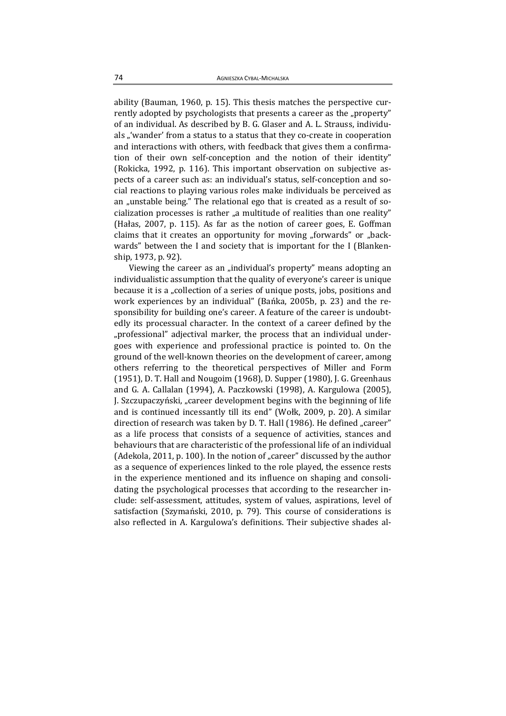ability (Bauman, 1960, p. 15). This thesis matches the perspective currently adopted by psychologists that presents a career as the "property" of an individual. As described by B. G. Glaser and A. L. Strauss, individuals "'wander' from a status to a status that they co-create in cooperation and interactions with others, with feedback that gives them a confirmation of their own self-conception and the notion of their identity" (Rokicka, 1992, p. 116). This important observation on subjective aspects of a career such as: an individual's status, self-conception and social reactions to playing various roles make individuals be perceived as an "unstable being." The relational ego that is created as a result of socialization processes is rather "a multitude of realities than one reality" (Hałas, 2007, p. 115). As far as the notion of career goes, E. Goffman claims that it creates an opportunity for moving "forwards" or "backwards" between the I and society that is important for the I (Blankenship, 1973, p. 92).

Viewing the career as an "individual's property" means adopting an individualistic assumption that the quality of everyone's career is unique because it is a "collection of a series of unique posts, jobs, positions and work experiences by an individual" (Bańka, 2005b, p. 23) and the responsibility for building one's career. A feature of the career is undoubtedly its processual character. In the context of a career defined by the "professional" adjectival marker, the process that an individual undergoes with experience and professional practice is pointed to. On the ground of the well-known theories on the development of career, among others referring to the theoretical perspectives of Miller and Form (1951), D. T. Hall and Nougoim (1968), D. Supper (1980), J. G. Greenhaus and G. A. Callalan (1994), A. Paczkowski (1998), A. Kargulowa (2005), J. Szczupaczyński, "career development begins with the beginning of life and is continued incessantly till its end" (Wołk, 2009, p. 20). A similar direction of research was taken by D. T. Hall (1986). He defined "career" as a life process that consists of a sequence of activities, stances and behaviours that are characteristic of the professional life of an individual (Adekola, 2011, p. 100). In the notion of "career" discussed by the author as a sequence of experiences linked to the role played, the essence rests in the experience mentioned and its influence on shaping and consolidating the psychological processes that according to the researcher include: self-assessment, attitudes, system of values, aspirations, level of satisfaction (Szymański, 2010, p. 79). This course of considerations is also reflected in A. Kargulowa's definitions. Their subjective shades al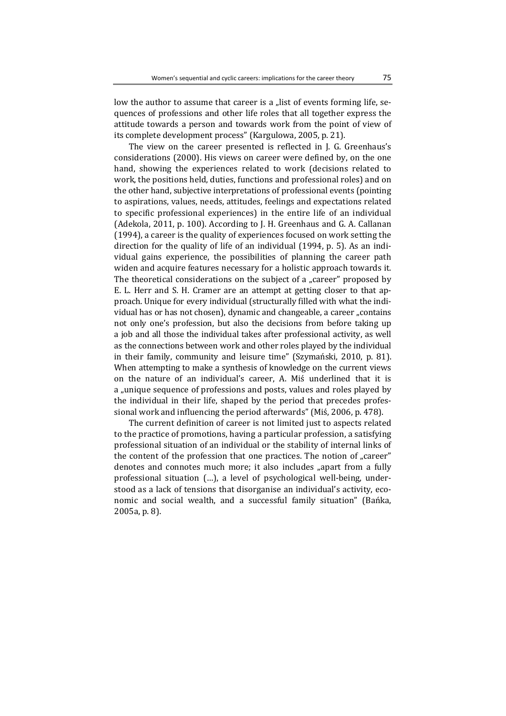low the author to assume that career is a "list of events forming life, sequences of professions and other life roles that all together express the attitude towards a person and towards work from the point of view of its complete development process" (Kargulowa, 2005, p. 21).

The view on the career presented is reflected in J. G. Greenhaus's considerations (2000). His views on career were defined by, on the one hand, showing the experiences related to work (decisions related to work, the positions held, duties, functions and professional roles) and on the other hand, subjective interpretations of professional events (pointing to aspirations, values, needs, attitudes, feelings and expectations related to specific professional experiences) in the entire life of an individual (Adekola, 2011, p. 100). According to J. H. Greenhaus and G. A. Callanan (1994), a career is the quality of experiences focused on work setting the direction for the quality of life of an individual (1994, p. 5). As an individual gains experience, the possibilities of planning the career path widen and acquire features necessary for a holistic approach towards it. The theoretical considerations on the subject of a "career" proposed by E. L. Herr and S. H. Cramer are an attempt at getting closer to that approach. Unique for every individual (structurally filled with what the individual has or has not chosen), dynamic and changeable, a career "contains not only one's profession, but also the decisions from before taking up a job and all those the individual takes after professional activity, as well as the connections between work and other roles played by the individual in their family, community and leisure time" (Szymański, 2010, p. 81). When attempting to make a synthesis of knowledge on the current views on the nature of an individual's career, A. Miś underlined that it is a "unique sequence of professions and posts, values and roles played by the individual in their life, shaped by the period that precedes professional work and influencing the period afterwards" (Miś, 2006, p. 478).

The current definition of career is not limited just to aspects related to the practice of promotions, having a particular profession, a satisfying professional situation of an individual or the stability of internal links of the content of the profession that one practices. The notion of "career" denotes and connotes much more; it also includes "apart from a fully professional situation (...), a level of psychological well-being, understood as a lack of tensions that disorganise an individual's activity, economic and social wealth, and a successful family situation" (Bańka, 2005a, p. 8).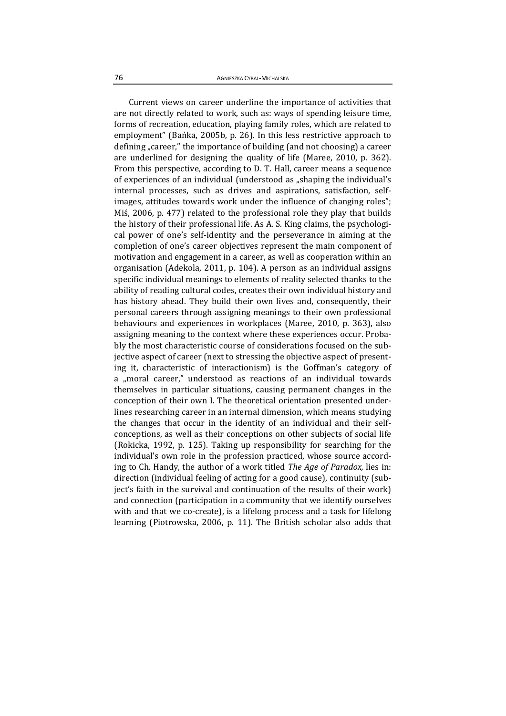Current views on career underline the importance of activities that are not directly related to work, such as: ways of spending leisure time, forms of recreation, education, playing family roles, which are related to employment" (Bańka, 2005b, p. 26). In this less restrictive approach to defining "career," the importance of building (and not choosing) a career are underlined for designing the quality of life (Maree,  $2010$ , p.  $362$ ). From this perspective, according to D. T. Hall, career means a sequence of experiences of an individual (understood as "shaping the individual's internal processes, such as drives and aspirations, satisfaction, selfimages, attitudes towards work under the influence of changing roles"; Mis, 2006, p. 477) related to the professional role they play that builds the history of their professional life. As A. S. King claims, the psychological power of one's self-identity and the perseverance in aiming at the completion of one's career objectives represent the main component of motivation and engagement in a career, as well as cooperation within an organisation (Adekola, 2011, p. 104). A person as an individual assigns specific individual meanings to elements of reality selected thanks to the ability of reading cultural codes, creates their own individual history and has history ahead. They build their own lives and, consequently, their personal careers through assigning meanings to their own professional behaviours and experiences in workplaces (Maree, 2010, p. 363), also assigning meaning to the context where these experiences occur. Probably the most characteristic course of considerations focused on the subjective aspect of career (next to stressing the objective aspect of presenting it, characteristic of interactionism) is the Goffman's category of a "moral career," understood as reactions of an individual towards themselves in particular situations, causing permanent changes in the conception of their own I. The theoretical orientation presented underlines researching career in an internal dimension, which means studying the changes that occur in the identity of an individual and their selfconceptions, as well as their conceptions on other subjects of social life (Rokicka, 1992, p. 125). Taking up responsibility for searching for the individual's own role in the profession practiced, whose source according to Ch. Handy, the author of a work titled *The Age of Paradox*, lies in: direction (individual feeling of acting for a good cause), continuity (subject's faith in the survival and continuation of the results of their work) and connection (participation in a community that we identify ourselves with and that we co-create), is a lifelong process and a task for lifelong learning (Piotrowska, 2006, p. 11). The British scholar also adds that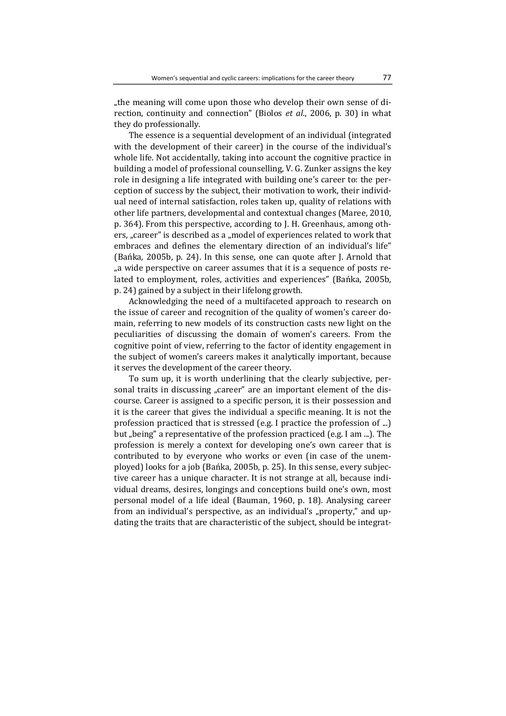"the meaning will come upon those who develop their own sense of direction, continuity and connection" (Biolos *et al.*, 2006, p. 30) in what they do professionally.

The essence is a sequential development of an individual (integrated with the development of their career) in the course of the individual's whole life. Not accidentally, taking into account the cognitive practice in building a model of professional counselling, V. G. Zunker assigns the key role in designing a life integrated with building one's career to: the perception of success by the subject, their motivation to work, their individual need of internal satisfaction, roles taken up, quality of relations with other life partners, developmental and contextual changes (Maree, 2010, p. 364). From this perspective, according to J. H. Greenhaus, among others, "career" is described as a "model of experiences related to work that embraces and defines the elementary direction of an individual's life" (Bańka, 2005b, p. 24). In this sense, one can quote after  $I$ . Arnold that ", a wide perspective on career assumes that it is a sequence of posts related to employment, roles, activities and experiences" (Bańka, 2005b, p. 24) gained by a subject in their lifelong growth.

Acknowledging the need of a multifaceted approach to research on the issue of career and recognition of the quality of women's career domain, referring to new models of its construction casts new light on the peculiarities of discussing the domain of women's careers. From the cognitive point of view, referring to the factor of identity engagement in the subject of women's careers makes it analytically important, because it serves the development of the career theory.

To sum up, it is worth underlining that the clearly subjective, personal traits in discussing "career" are an important element of the discourse. Career is assigned to a specific person, it is their possession and it is the career that gives the individual a specific meaning. It is not the profession practiced that is stressed (e.g. I practice the profession of ...) but "being" a representative of the profession practiced (e.g. I am ...). The profession is merely a context for developing one's own career that is contributed to by everyone who works or even (in case of the unemployed) looks for a job (Bańka, 2005b, p. 25). In this sense, every subjective career has a unique character. It is not strange at all, because individual dreams, desires, longings and conceptions build one's own, most personal model of a life ideal (Bauman, 1960, p. 18). Analysing career from an individual's perspective, as an individual's "property," and updating the traits that are characteristic of the subject, should be integrat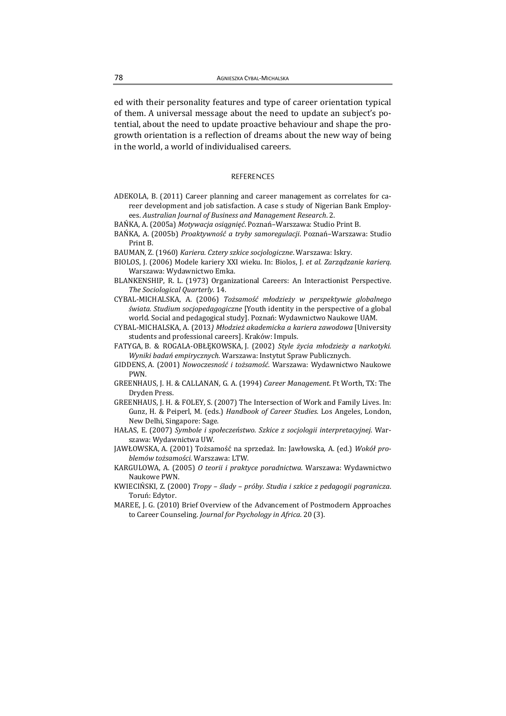ed with their personality features and type of career orientation typical of them. A universal message about the need to update an subject's potential, about the need to update proactive behaviour and shape the progrowth orientation is a reflection of dreams about the new way of being in the world, a world of individualised careers.

## **REFERENCES**

- ADEKOLA, B. (2011) Career planning and career management as correlates for career development and job satisfaction. A case s study of Nigerian Bank Employees. *Australian Journal of Business and Management Research*. 2.
- BAŃKA, A. (2005a) *Motywacja osiągnięć*. Poznań–Warszawa: Studio Print B.
- BAŃKA, A. (2005b) *Proaktywność a tryby samoregulacji*. Poznań–Warszawa: Studio Print **B**.
- BAUMAN, Z. (1960) Kariera. Cztery szkice socjologiczne. Warszawa: Iskry.
- BIOLOS, J. (2006) Modele kariery XXI wieku. In: Biolos, J. *et al*. *Zarządzanie karierą*. Warszawa: Wydawnictwo Emka.
- BLANKENSHIP, R. L. (1973) Organizational Careers: An Interactionist Perspective. *The Sociological Quarterly*. 14.
- CYBAL‐MICHALSKA, A. (2006) *Tożsamość młodzieży w perspektywie globalnego świata. Studium socjopedagogiczne* [Youth identity in the perspective of a global world. Social and pedagogical study]. Poznań: Wydawnictwo Naukowe UAM.
- CYBAL‐MICHALSKA, A. (2013*) Młodzież akademicka a kariera zawodowa* [University students and professional careers]. Kraków: Impuls.
- FATYGA, B. & ROGALA‐OBŁĘKOWSKA, J. (2002) *Style życia młodzieży a narkotyki. Wyniki badań empirycznych*. Warszawa: Instytut Spraw Publicznych.
- GIDDENS, A. (2001) *Nowoczesność i tożsamość*. Warszawa: Wydawnictwo Naukowe PWN.
- GREENHAUS, J. H. & CALLANAN, G. A. (1994) Career Management. Ft Worth, TX: The Dryden Press.
- GREENHAUS, J. H. & FOLEY, S. (2007) The Intersection of Work and Family Lives. In: Gunz, H. & Peiperl, M. (eds.) *Handbook of Career Studies*. Los Angeles, London, New Delhi, Singapore: Sage.
- HAŁAS, E. (2007) *Symbole i społeczeństwo. Szkice z socjologii interpretacyjnej*. War‐ szawa: Wydawnictwa UW.
- JAWŁOWSKA, A. (2001) Tożsamość na sprzedaż. In: Jawłowska, A. (ed.) Wokół pro*blemów tożsamości*. Warszawa: LTW.
- KARGULOWA, A. (2005) *O teorii i praktyce poradnictwa*. Warszawa: Wydawnictwo Naukowe PWN.
- KWIECIŃSKI, Z. (2000) *Tropy – ślady – próby. Studia i szkice z pedagogii pogranicza*. Toruń: Edytor.
- MAREE, J. G. (2010) Brief Overview of the Advancement of Postmodern Approaches to Career Counseling. *Journal for Psychology in Africa*. 20 (3).